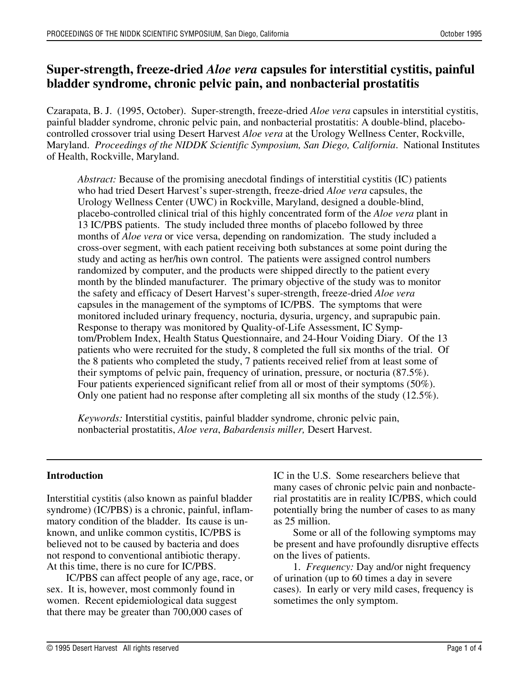# **Super-strength, freeze-dried** *Aloe vera* **capsules for interstitial cystitis, painful bladder syndrome, chronic pelvic pain, and nonbacterial prostatitis**

Czarapata, B. J. (1995, October). Super-strength, freeze-dried *Aloe vera* capsules in interstitial cystitis, painful bladder syndrome, chronic pelvic pain, and nonbacterial prostatitis: A double-blind, placebocontrolled crossover trial using Desert Harvest *Aloe vera* at the Urology Wellness Center, Rockville, Maryland. *Proceedings of the NIDDK Scientific Symposium, San Diego, California*. National Institutes of Health, Rockville, Maryland.

*Abstract:* Because of the promising anecdotal findings of interstitial cystitis (IC) patients who had tried Desert Harvest's super-strength, freeze-dried *Aloe vera* capsules, the Urology Wellness Center (UWC) in Rockville, Maryland, designed a double-blind, placebo-controlled clinical trial of this highly concentrated form of the *Aloe vera* plant in 13 IC/PBS patients. The study included three months of placebo followed by three months of *Aloe vera* or vice versa, depending on randomization. The study included a cross-over segment, with each patient receiving both substances at some point during the study and acting as her/his own control. The patients were assigned control numbers randomized by computer, and the products were shipped directly to the patient every month by the blinded manufacturer. The primary objective of the study was to monitor the safety and efficacy of Desert Harvest's super-strength, freeze-dried *Aloe vera* capsules in the management of the symptoms of IC/PBS. The symptoms that were monitored included urinary frequency, nocturia, dysuria, urgency, and suprapubic pain. Response to therapy was monitored by Quality-of-Life Assessment, IC Symptom/Problem Index, Health Status Questionnaire, and 24-Hour Voiding Diary. Of the 13 patients who were recruited for the study, 8 completed the full six months of the trial. Of the 8 patients who completed the study, 7 patients received relief from at least some of their symptoms of pelvic pain, frequency of urination, pressure, or nocturia (87.5%). Four patients experienced significant relief from all or most of their symptoms (50%). Only one patient had no response after completing all six months of the study (12.5%).

*Keywords:* Interstitial cystitis, painful bladder syndrome, chronic pelvic pain, nonbacterial prostatitis, *Aloe vera*, *Babardensis miller,* Desert Harvest.

#### **Introduction**

Interstitial cystitis (also known as painful bladder syndrome) (IC/PBS) is a chronic, painful, inflammatory condition of the bladder. Its cause is unknown, and unlike common cystitis, IC/PBS is believed not to be caused by bacteria and does not respond to conventional antibiotic therapy. At this time, there is no cure for IC/PBS.

IC/PBS can affect people of any age, race, or sex. It is, however, most commonly found in women. Recent epidemiological data suggest that there may be greater than 700,000 cases of

IC in the U.S. Some researchers believe that many cases of chronic pelvic pain and nonbacterial prostatitis are in reality IC/PBS, which could potentially bring the number of cases to as many as 25 million.

Some or all of the following symptoms may be present and have profoundly disruptive effects on the lives of patients.

1. *Frequency:* Day and/or night frequency of urination (up to 60 times a day in severe cases). In early or very mild cases, frequency is sometimes the only symptom.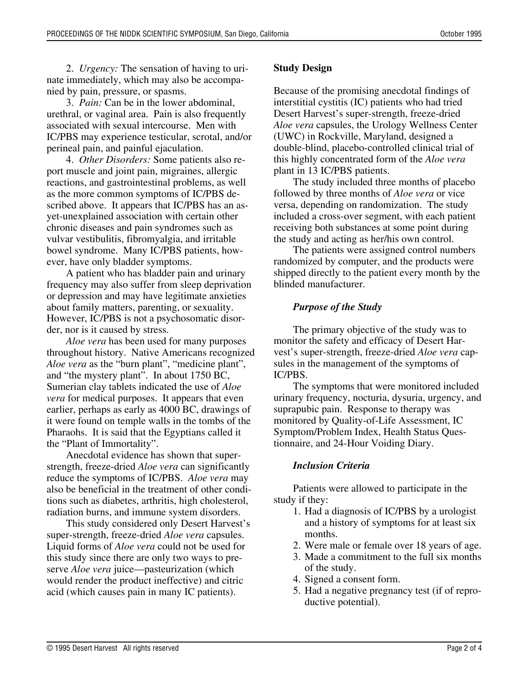2. *Urgency:* The sensation of having to urinate immediately, which may also be accompanied by pain, pressure, or spasms.

3. *Pain:* Can be in the lower abdominal, urethral, or vaginal area. Pain is also frequently associated with sexual intercourse. Men with IC/PBS may experience testicular, scrotal, and/or perineal pain, and painful ejaculation.

4. *Other Disorders:* Some patients also report muscle and joint pain, migraines, allergic reactions, and gastrointestinal problems, as well as the more common symptoms of IC/PBS described above. It appears that IC/PBS has an asyet-unexplained association with certain other chronic diseases and pain syndromes such as vulvar vestibulitis, fibromyalgia, and irritable bowel syndrome. Many IC/PBS patients, however, have only bladder symptoms.

A patient who has bladder pain and urinary frequency may also suffer from sleep deprivation or depression and may have legitimate anxieties about family matters, parenting, or sexuality. However, IC/PBS is not a psychosomatic disorder, nor is it caused by stress.

*Aloe vera* has been used for many purposes throughout history. Native Americans recognized *Aloe vera* as the "burn plant", "medicine plant", and "the mystery plant". In about 1750 BC, Sumerian clay tablets indicated the use of *Aloe vera* for medical purposes. It appears that even earlier, perhaps as early as 4000 BC, drawings of it were found on temple walls in the tombs of the Pharaohs. It is said that the Egyptians called it the "Plant of Immortality".

Anecdotal evidence has shown that superstrength, freeze-dried *Aloe vera* can significantly reduce the symptoms of IC/PBS. *Aloe vera* may also be beneficial in the treatment of other conditions such as diabetes, arthritis, high cholesterol, radiation burns, and immune system disorders.

This study considered only Desert Harvest's super-strength, freeze-dried *Aloe vera* capsules. Liquid forms of *Aloe vera* could not be used for this study since there are only two ways to preserve *Aloe vera* juice—pasteurization (which would render the product ineffective) and citric acid (which causes pain in many IC patients).

## **Study Design**

Because of the promising anecdotal findings of interstitial cystitis (IC) patients who had tried Desert Harvest's super-strength, freeze-dried *Aloe vera* capsules, the Urology Wellness Center (UWC) in Rockville, Maryland, designed a double-blind, placebo-controlled clinical trial of this highly concentrated form of the *Aloe vera* plant in 13 IC/PBS patients.

The study included three months of placebo followed by three months of *Aloe vera* or vice versa, depending on randomization. The study included a cross-over segment, with each patient receiving both substances at some point during the study and acting as her/his own control.

The patients were assigned control numbers randomized by computer, and the products were shipped directly to the patient every month by the blinded manufacturer.

# *Purpose of the Study*

The primary objective of the study was to monitor the safety and efficacy of Desert Harvest's super-strength, freeze-dried *Aloe vera* capsules in the management of the symptoms of IC/PBS.

The symptoms that were monitored included urinary frequency, nocturia, dysuria, urgency, and suprapubic pain. Response to therapy was monitored by Quality-of-Life Assessment, IC Symptom/Problem Index, Health Status Questionnaire, and 24-Hour Voiding Diary.

# *Inclusion Criteria*

Patients were allowed to participate in the study if they:

- 1. Had a diagnosis of IC/PBS by a urologist and a history of symptoms for at least six months.
- 2. Were male or female over 18 years of age.
- 3. Made a commitment to the full six months of the study.
- 4. Signed a consent form.
- 5. Had a negative pregnancy test (if of reproductive potential).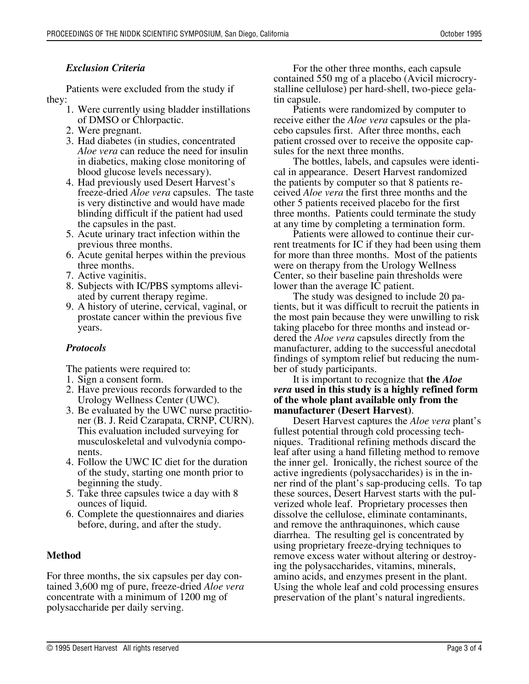### *Exclusion Criteria*

Patients were excluded from the study if they:

- 1. Were currently using bladder instillations of DMSO or Chlorpactic.
- 2. Were pregnant.
- 3. Had diabetes (in studies, concentrated *Aloe vera* can reduce the need for insulin in diabetics, making close monitoring of blood glucose levels necessary).
- 4. Had previously used Desert Harvest's freeze-dried *Aloe vera* capsules. The taste is very distinctive and would have made blinding difficult if the patient had used the capsules in the past.
- 5. Acute urinary tract infection within the previous three months.
- 6. Acute genital herpes within the previous three months.
- 7. Active vaginitis.
- 8. Subjects with IC/PBS symptoms alleviated by current therapy regime.
- 9. A history of uterine, cervical, vaginal, or prostate cancer within the previous five years.

## *Protocols*

The patients were required to:

- 1. Sign a consent form.
- 2. Have previous records forwarded to the Urology Wellness Center (UWC).
- 3. Be evaluated by the UWC nurse practitioner (B. J. Reid Czarapata, CRNP, CURN). This evaluation included surveying for musculoskeletal and vulvodynia components.
- 4. Follow the UWC IC diet for the duration of the study, starting one month prior to beginning the study.
- 5. Take three capsules twice a day with 8 ounces of liquid.
- 6. Complete the questionnaires and diaries before, during, and after the study.

## **Method**

For three months, the six capsules per day contained 3,600 mg of pure, freeze-dried *Aloe vera* concentrate with a minimum of 1200 mg of polysaccharide per daily serving.

For the other three months, each capsule contained 550 mg of a placebo (Avicil microcrystalline cellulose) per hard-shell, two-piece gelatin capsule.

Patients were randomized by computer to receive either the *Aloe vera* capsules or the placebo capsules first. After three months, each patient crossed over to receive the opposite capsules for the next three months.

The bottles, labels, and capsules were identical in appearance. Desert Harvest randomized the patients by computer so that 8 patients received *Aloe vera* the first three months and the other 5 patients received placebo for the first three months. Patients could terminate the study at any time by completing a termination form.

Patients were allowed to continue their current treatments for IC if they had been using them for more than three months. Most of the patients were on therapy from the Urology Wellness Center, so their baseline pain thresholds were lower than the average IC patient.

The study was designed to include 20 patients, but it was difficult to recruit the patients in the most pain because they were unwilling to risk taking placebo for three months and instead ordered the *Aloe vera* capsules directly from the manufacturer, adding to the successful anecdotal findings of symptom relief but reducing the number of study participants.

It is important to recognize that **the** *Aloe vera* **used in this study is a highly refined form of the whole plant available only from the manufacturer (Desert Harvest)**.

Desert Harvest captures the *Aloe vera* plant's fullest potential through cold processing techniques. Traditional refining methods discard the leaf after using a hand filleting method to remove the inner gel. Ironically, the richest source of the active ingredients (polysaccharides) is in the inner rind of the plant's sap-producing cells. To tap these sources, Desert Harvest starts with the pulverized whole leaf. Proprietary processes then dissolve the cellulose, eliminate contaminants, and remove the anthraquinones, which cause diarrhea. The resulting gel is concentrated by using proprietary freeze-drying techniques to remove excess water without altering or destroying the polysaccharides, vitamins, minerals, amino acids, and enzymes present in the plant. Using the whole leaf and cold processing ensures preservation of the plant's natural ingredients.